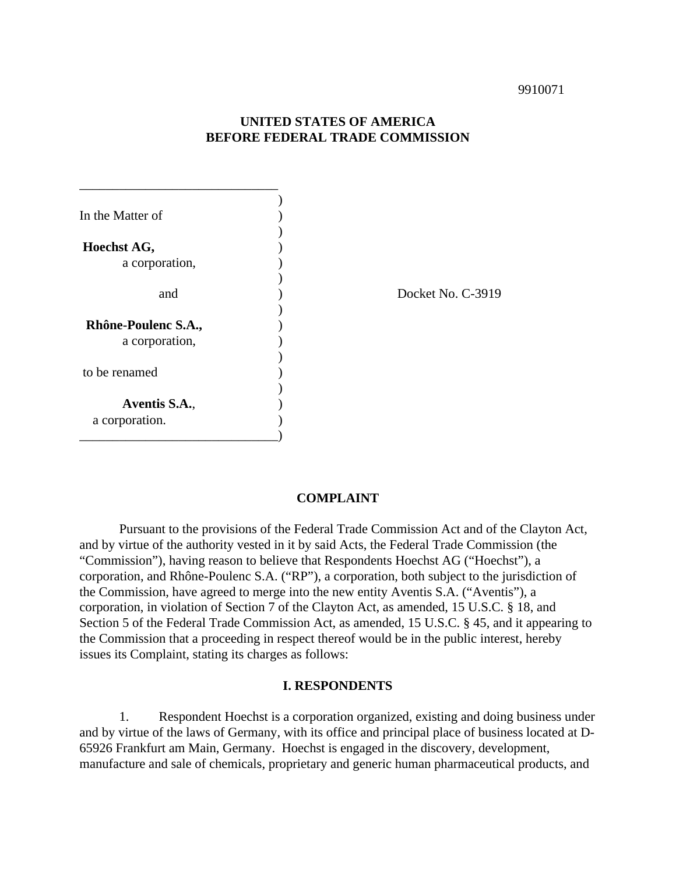# **UNITED STATES OF AMERICA BEFORE FEDERAL TRADE COMMISSION**

| In the Matter of    |  |
|---------------------|--|
|                     |  |
| Hoechst AG,         |  |
| a corporation,      |  |
|                     |  |
| and                 |  |
|                     |  |
| Rhône-Poulenc S.A., |  |
| a corporation,      |  |
|                     |  |
| to be renamed       |  |
|                     |  |
| Aventis S.A.,       |  |
| a corporation.      |  |
|                     |  |

\_\_\_\_\_\_\_\_\_\_\_\_\_\_\_\_\_\_\_\_\_\_\_\_\_\_\_\_\_\_

Docket No. C-3919

## **COMPLAINT**

Pursuant to the provisions of the Federal Trade Commission Act and of the Clayton Act, and by virtue of the authority vested in it by said Acts, the Federal Trade Commission (the "Commission"), having reason to believe that Respondents Hoechst AG ("Hoechst"), a corporation, and Rhône-Poulenc S.A. ("RP"), a corporation, both subject to the jurisdiction of the Commission, have agreed to merge into the new entity Aventis S.A. ("Aventis"), a corporation, in violation of Section 7 of the Clayton Act, as amended, 15 U.S.C. § 18, and Section 5 of the Federal Trade Commission Act, as amended, 15 U.S.C. § 45, and it appearing to the Commission that a proceeding in respect thereof would be in the public interest, hereby issues its Complaint, stating its charges as follows:

## **I. RESPONDENTS**

1. Respondent Hoechst is a corporation organized, existing and doing business under and by virtue of the laws of Germany, with its office and principal place of business located at D-65926 Frankfurt am Main, Germany. Hoechst is engaged in the discovery, development, manufacture and sale of chemicals, proprietary and generic human pharmaceutical products, and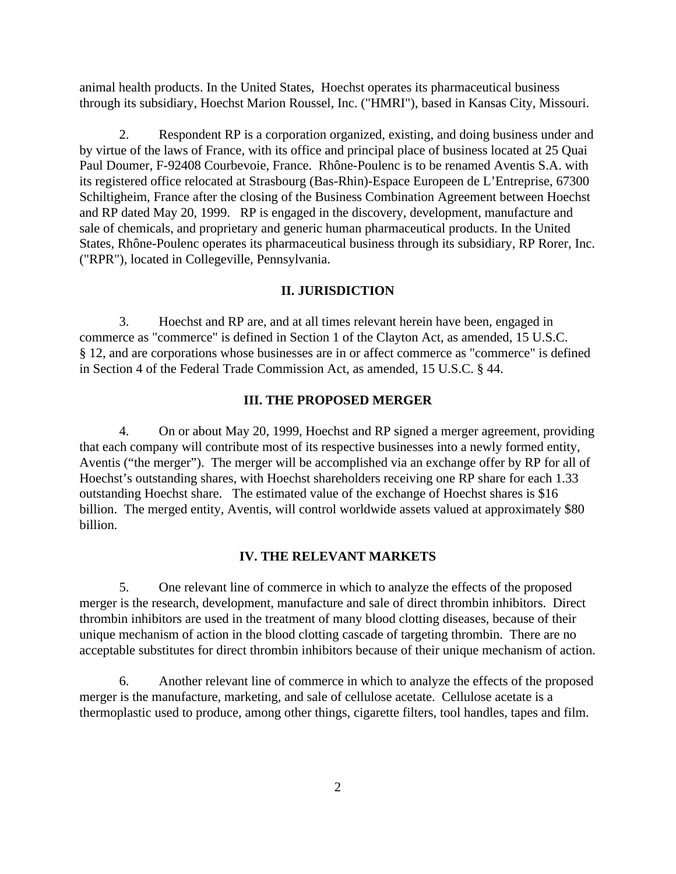animal health products. In the United States, Hoechst operates its pharmaceutical business through its subsidiary, Hoechst Marion Roussel, Inc. ("HMRI"), based in Kansas City, Missouri.

2. Respondent RP is a corporation organized, existing, and doing business under and by virtue of the laws of France, with its office and principal place of business located at 25 Quai Paul Doumer, F-92408 Courbevoie, France. Rhône-Poulenc is to be renamed Aventis S.A. with its registered office relocated at Strasbourg (Bas-Rhin)-Espace Europeen de L'Entreprise, 67300 Schiltigheim, France after the closing of the Business Combination Agreement between Hoechst and RP dated May 20, 1999. RP is engaged in the discovery, development, manufacture and sale of chemicals, and proprietary and generic human pharmaceutical products. In the United States, Rhône-Poulenc operates its pharmaceutical business through its subsidiary, RP Rorer, Inc. ("RPR"), located in Collegeville, Pennsylvania.

## **II. JURISDICTION**

3. Hoechst and RP are, and at all times relevant herein have been, engaged in commerce as "commerce" is defined in Section 1 of the Clayton Act, as amended, 15 U.S.C. § 12, and are corporations whose businesses are in or affect commerce as "commerce" is defined in Section 4 of the Federal Trade Commission Act, as amended, 15 U.S.C. § 44.

## **III. THE PROPOSED MERGER**

4. On or about May 20, 1999, Hoechst and RP signed a merger agreement, providing that each company will contribute most of its respective businesses into a newly formed entity, Aventis ("the merger"). The merger will be accomplished via an exchange offer by RP for all of Hoechst's outstanding shares, with Hoechst shareholders receiving one RP share for each 1.33 outstanding Hoechst share. The estimated value of the exchange of Hoechst shares is \$16 billion. The merged entity, Aventis, will control worldwide assets valued at approximately \$80 billion.

#### **IV. THE RELEVANT MARKETS**

5. One relevant line of commerce in which to analyze the effects of the proposed merger is the research, development, manufacture and sale of direct thrombin inhibitors. Direct thrombin inhibitors are used in the treatment of many blood clotting diseases, because of their unique mechanism of action in the blood clotting cascade of targeting thrombin. There are no acceptable substitutes for direct thrombin inhibitors because of their unique mechanism of action.

6. Another relevant line of commerce in which to analyze the effects of the proposed merger is the manufacture, marketing, and sale of cellulose acetate. Cellulose acetate is a thermoplastic used to produce, among other things, cigarette filters, tool handles, tapes and film.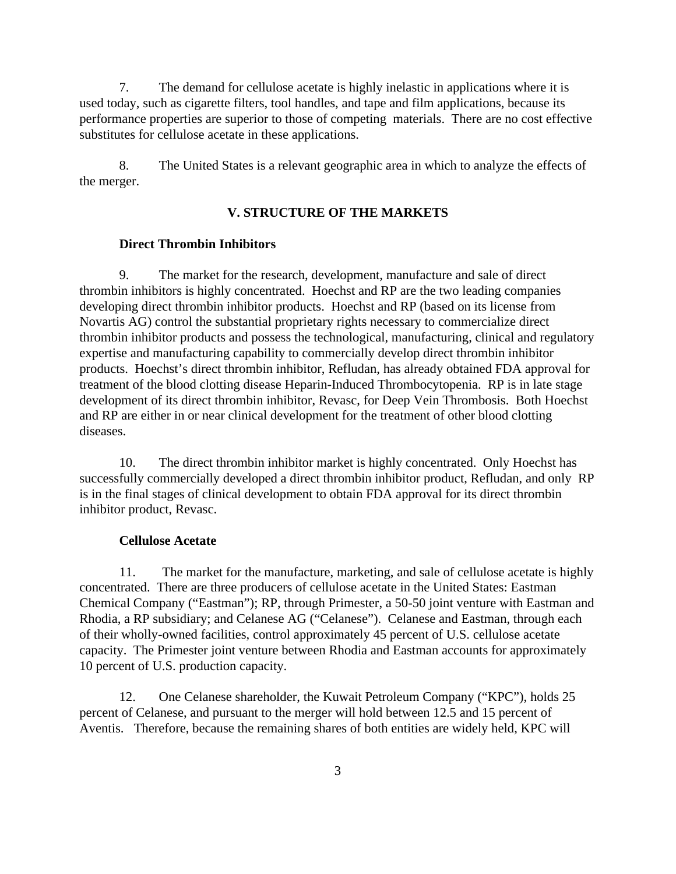7. The demand for cellulose acetate is highly inelastic in applications where it is used today, such as cigarette filters, tool handles, and tape and film applications, because its performance properties are superior to those of competing materials. There are no cost effective substitutes for cellulose acetate in these applications.

8. The United States is a relevant geographic area in which to analyze the effects of the merger.

# **V. STRUCTURE OF THE MARKETS**

## **Direct Thrombin Inhibitors**

9. The market for the research, development, manufacture and sale of direct thrombin inhibitors is highly concentrated. Hoechst and RP are the two leading companies developing direct thrombin inhibitor products. Hoechst and RP (based on its license from Novartis AG) control the substantial proprietary rights necessary to commercialize direct thrombin inhibitor products and possess the technological, manufacturing, clinical and regulatory expertise and manufacturing capability to commercially develop direct thrombin inhibitor products. Hoechst's direct thrombin inhibitor, Refludan, has already obtained FDA approval for treatment of the blood clotting disease Heparin-Induced Thrombocytopenia. RP is in late stage development of its direct thrombin inhibitor, Revasc, for Deep Vein Thrombosis. Both Hoechst and RP are either in or near clinical development for the treatment of other blood clotting diseases.

10. The direct thrombin inhibitor market is highly concentrated. Only Hoechst has successfully commercially developed a direct thrombin inhibitor product, Refludan, and only RP is in the final stages of clinical development to obtain FDA approval for its direct thrombin inhibitor product, Revasc.

## **Cellulose Acetate**

11. The market for the manufacture, marketing, and sale of cellulose acetate is highly concentrated. There are three producers of cellulose acetate in the United States: Eastman Chemical Company ("Eastman"); RP, through Primester, a 50-50 joint venture with Eastman and Rhodia, a RP subsidiary; and Celanese AG ("Celanese"). Celanese and Eastman, through each of their wholly-owned facilities, control approximately 45 percent of U.S. cellulose acetate capacity. The Primester joint venture between Rhodia and Eastman accounts for approximately 10 percent of U.S. production capacity.

12. One Celanese shareholder, the Kuwait Petroleum Company ("KPC"), holds 25 percent of Celanese, and pursuant to the merger will hold between 12.5 and 15 percent of Aventis. Therefore, because the remaining shares of both entities are widely held, KPC will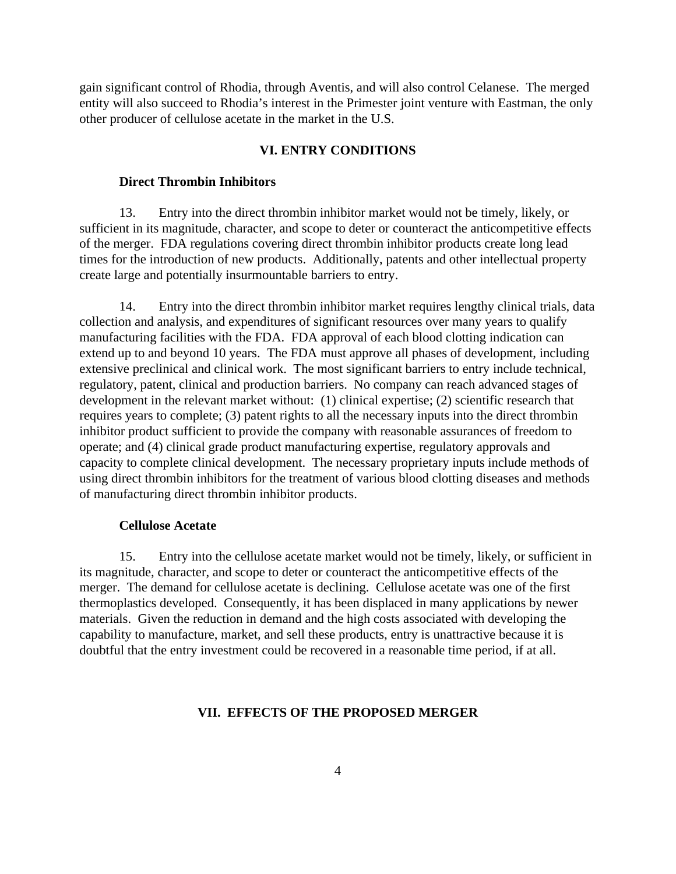gain significant control of Rhodia, through Aventis, and will also control Celanese. The merged entity will also succeed to Rhodia's interest in the Primester joint venture with Eastman, the only other producer of cellulose acetate in the market in the U.S.

### **VI. ENTRY CONDITIONS**

## **Direct Thrombin Inhibitors**

13. Entry into the direct thrombin inhibitor market would not be timely, likely, or sufficient in its magnitude, character, and scope to deter or counteract the anticompetitive effects of the merger. FDA regulations covering direct thrombin inhibitor products create long lead times for the introduction of new products. Additionally, patents and other intellectual property create large and potentially insurmountable barriers to entry.

14. Entry into the direct thrombin inhibitor market requires lengthy clinical trials, data collection and analysis, and expenditures of significant resources over many years to qualify manufacturing facilities with the FDA. FDA approval of each blood clotting indication can extend up to and beyond 10 years. The FDA must approve all phases of development, including extensive preclinical and clinical work. The most significant barriers to entry include technical, regulatory, patent, clinical and production barriers. No company can reach advanced stages of development in the relevant market without: (1) clinical expertise; (2) scientific research that requires years to complete; (3) patent rights to all the necessary inputs into the direct thrombin inhibitor product sufficient to provide the company with reasonable assurances of freedom to operate; and (4) clinical grade product manufacturing expertise, regulatory approvals and capacity to complete clinical development. The necessary proprietary inputs include methods of using direct thrombin inhibitors for the treatment of various blood clotting diseases and methods of manufacturing direct thrombin inhibitor products.

## **Cellulose Acetate**

15. Entry into the cellulose acetate market would not be timely, likely, or sufficient in its magnitude, character, and scope to deter or counteract the anticompetitive effects of the merger. The demand for cellulose acetate is declining. Cellulose acetate was one of the first thermoplastics developed. Consequently, it has been displaced in many applications by newer materials. Given the reduction in demand and the high costs associated with developing the capability to manufacture, market, and sell these products, entry is unattractive because it is doubtful that the entry investment could be recovered in a reasonable time period, if at all.

#### **VII. EFFECTS OF THE PROPOSED MERGER**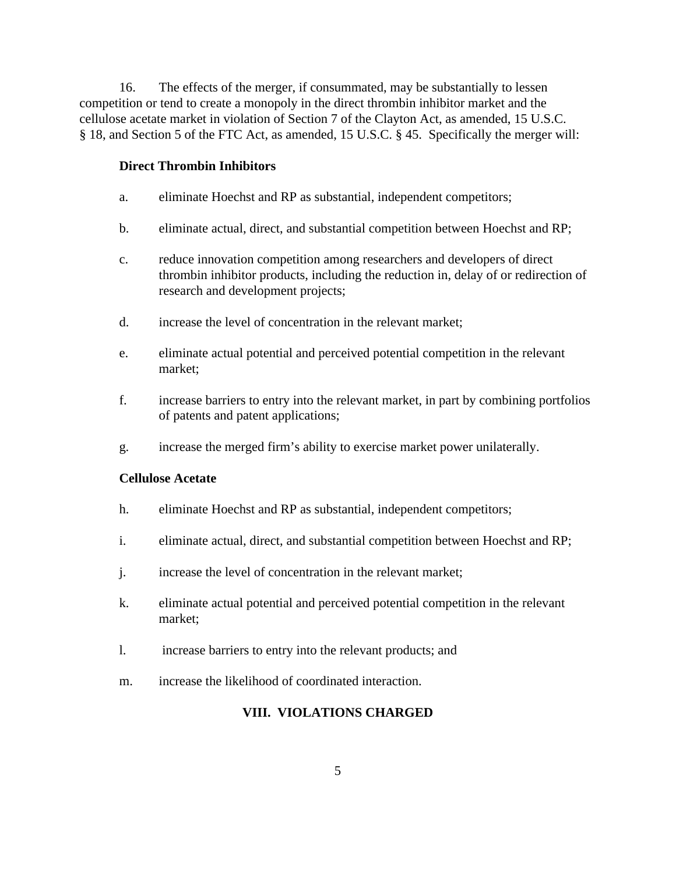16. The effects of the merger, if consummated, may be substantially to lessen competition or tend to create a monopoly in the direct thrombin inhibitor market and the cellulose acetate market in violation of Section 7 of the Clayton Act, as amended, 15 U.S.C. § 18, and Section 5 of the FTC Act, as amended, 15 U.S.C. § 45. Specifically the merger will:

# **Direct Thrombin Inhibitors**

- a. eliminate Hoechst and RP as substantial, independent competitors;
- b. eliminate actual, direct, and substantial competition between Hoechst and RP;
- c. reduce innovation competition among researchers and developers of direct thrombin inhibitor products, including the reduction in, delay of or redirection of research and development projects;
- d. increase the level of concentration in the relevant market;
- e. eliminate actual potential and perceived potential competition in the relevant market;
- f. increase barriers to entry into the relevant market, in part by combining portfolios of patents and patent applications;
- g. increase the merged firm's ability to exercise market power unilaterally.

## **Cellulose Acetate**

- h. eliminate Hoechst and RP as substantial, independent competitors;
- i. eliminate actual, direct, and substantial competition between Hoechst and RP;
- j. increase the level of concentration in the relevant market;
- k. eliminate actual potential and perceived potential competition in the relevant market;
- l. increase barriers to entry into the relevant products; and
- m. increase the likelihood of coordinated interaction.

# **VIII. VIOLATIONS CHARGED**